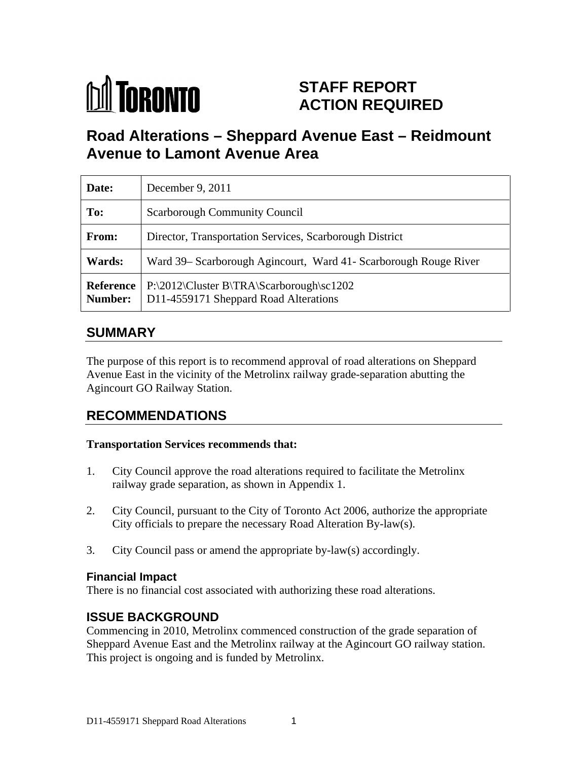

# **STAFF REPORT ACTION REQUIRED**

# **Road Alterations – Sheppard Avenue East – Reidmount Avenue to Lamont Avenue Area**

| Date:         | December 9, $2011$                                                                                           |
|---------------|--------------------------------------------------------------------------------------------------------------|
| To:           | <b>Scarborough Community Council</b>                                                                         |
| From:         | Director, Transportation Services, Scarborough District                                                      |
| <b>Wards:</b> | Ward 39– Scarborough Agincourt, Ward 41- Scarborough Rouge River                                             |
|               | Reference   P:\2012\Cluster B\TRA\Scarborough\sc1202<br><b>Number:</b> D11-4559171 Sheppard Road Alterations |

## **SUMMARY**

The purpose of this report is to recommend approval of road alterations on Sheppard Avenue East in the vicinity of the Metrolinx railway grade-separation abutting the Agincourt GO Railway Station.

## **RECOMMENDATIONS**

#### **Transportation Services recommends that:**

- 1. City Council approve the road alterations required to facilitate the Metrolinx railway grade separation, as shown in Appendix 1.
- 2. City Council, pursuant to the City of Toronto Act 2006, authorize the appropriate City officials to prepare the necessary Road Alteration By-law(s).
- 3. City Council pass or amend the appropriate by-law(s) accordingly.

#### **Financial Impact**

There is no financial cost associated with authorizing these road alterations.

### **ISSUE BACKGROUND**

Commencing in 2010, Metrolinx commenced construction of the grade separation of Sheppard Avenue East and the Metrolinx railway at the Agincourt GO railway station. This project is ongoing and is funded by Metrolinx.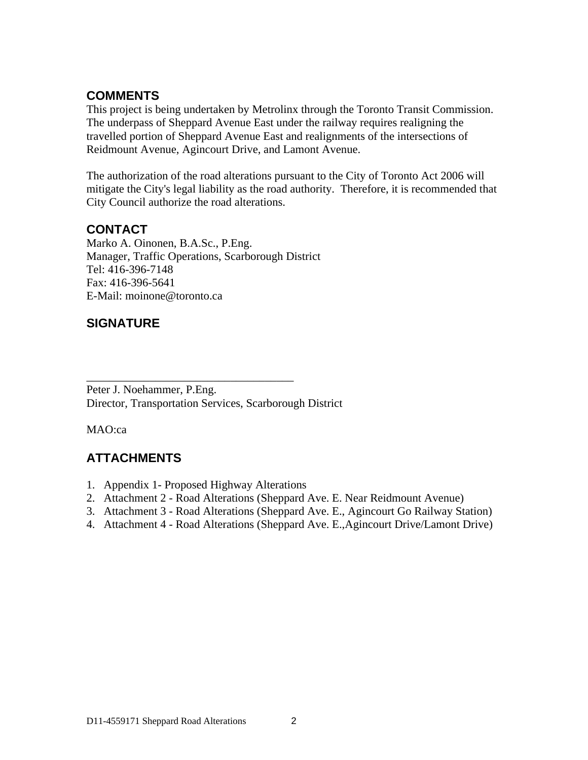### **COMMENTS**

This project is being undertaken by Metrolinx through the Toronto Transit Commission. The underpass of Sheppard Avenue East under the railway requires realigning the travelled portion of Sheppard Avenue East and realignments of the intersections of Reidmount Avenue, Agincourt Drive, and Lamont Avenue.

The authorization of the road alterations pursuant to the City of Toronto Act 2006 will mitigate the City's legal liability as the road authority. Therefore, it is recommended that City Council authorize the road alterations.

### **CONTACT**

Marko A. Oinonen, B.A.Sc., P.Eng. Manager, Traffic Operations, Scarborough District Tel: 416-396-7148 Fax: 416-396-5641 E-Mail: moinone@toronto.ca

### **SIGNATURE**

Peter J. Noehammer, P.Eng. Director, Transportation Services, Scarborough District

MAO:ca

## **ATTACHMENTS**

- 1. Appendix 1- Proposed Highway Alterations
- 2. Attachment 2 Road Alterations (Sheppard Ave. E. Near Reidmount Avenue)
- 3. Attachment 3 Road Alterations (Sheppard Ave. E., Agincourt Go Railway Station)

 $\overline{\phantom{a}}$  , we can assume that the contract of  $\overline{\phantom{a}}$  , we can assume that  $\overline{\phantom{a}}$ 

4. Attachment 4 - Road Alterations (Sheppard Ave. E.,Agincourt Drive/Lamont Drive)